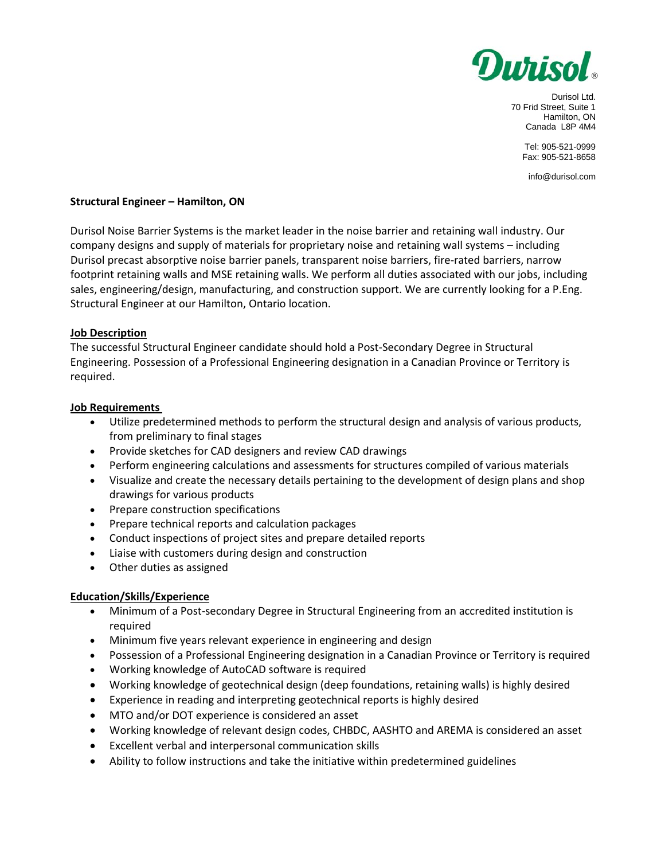

Durisol Ltd. 70 Frid Street, Suite 1 Hamilton, ON Canada L8P 4M4

> Tel: 905-521-0999 Fax: 905-521-8658

info@durisol.com

## **Structural Engineer – Hamilton, ON**

Durisol Noise Barrier Systems is the market leader in the noise barrier and retaining wall industry. Our company designs and supply of materials for proprietary noise and retaining wall systems – including Durisol precast absorptive noise barrier panels, transparent noise barriers, fire-rated barriers, narrow footprint retaining walls and MSE retaining walls. We perform all duties associated with our jobs, including sales, engineering/design, manufacturing, and construction support. We are currently looking for a P.Eng. Structural Engineer at our Hamilton, Ontario location.

## **Job Description**

The successful Structural Engineer candidate should hold a Post-Secondary Degree in Structural Engineering. Possession of a Professional Engineering designation in a Canadian Province or Territory is required.

## **Job Requirements**

- Utilize predetermined methods to perform the structural design and analysis of various products, from preliminary to final stages
- Provide sketches for CAD designers and review CAD drawings
- Perform engineering calculations and assessments for structures compiled of various materials
- Visualize and create the necessary details pertaining to the development of design plans and shop drawings for various products
- Prepare construction specifications
- Prepare technical reports and calculation packages
- Conduct inspections of project sites and prepare detailed reports
- Liaise with customers during design and construction
- Other duties as assigned

## **Education/Skills/Experience**

- Minimum of a Post-secondary Degree in Structural Engineering from an accredited institution is required
- Minimum five years relevant experience in engineering and design
- Possession of a Professional Engineering designation in a Canadian Province or Territory is required
- Working knowledge of AutoCAD software is required
- Working knowledge of geotechnical design (deep foundations, retaining walls) is highly desired
- Experience in reading and interpreting geotechnical reports is highly desired
- MTO and/or DOT experience is considered an asset
- Working knowledge of relevant design codes, CHBDC, AASHTO and AREMA is considered an asset
- Excellent verbal and interpersonal communication skills
- Ability to follow instructions and take the initiative within predetermined guidelines